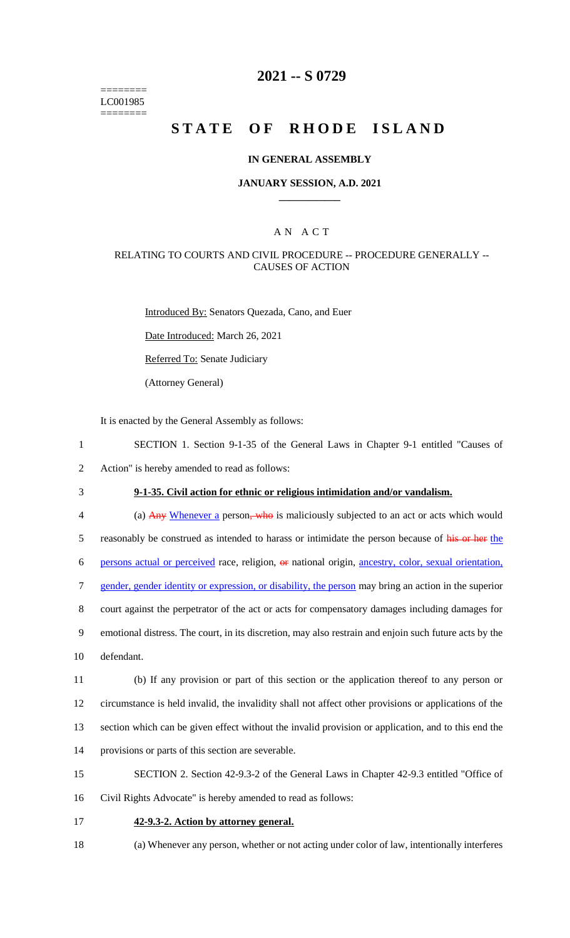======== LC001985 ========

### **2021 -- S 0729**

# **STATE OF RHODE ISLAND**

#### **IN GENERAL ASSEMBLY**

#### **JANUARY SESSION, A.D. 2021 \_\_\_\_\_\_\_\_\_\_\_\_**

#### A N A C T

#### RELATING TO COURTS AND CIVIL PROCEDURE -- PROCEDURE GENERALLY -- CAUSES OF ACTION

Introduced By: Senators Quezada, Cano, and Euer Date Introduced: March 26, 2021

Referred To: Senate Judiciary

(Attorney General)

It is enacted by the General Assembly as follows:

- 1 SECTION 1. Section 9-1-35 of the General Laws in Chapter 9-1 entitled "Causes of 2 Action" is hereby amended to read as follows:
- 
- 3 **9-1-35. Civil action for ethnic or religious intimidation and/or vandalism.**

4 (a) Any Whenever a person, who is maliciously subjected to an act or acts which would 5 reasonably be construed as intended to harass or intimidate the person because of his or her the persons actual or perceived race, religion, or national origin, ancestry, color, sexual orientation, 7 gender, gender identity or expression, or disability, the person may bring an action in the superior court against the perpetrator of the act or acts for compensatory damages including damages for emotional distress. The court, in its discretion, may also restrain and enjoin such future acts by the defendant. (b) If any provision or part of this section or the application thereof to any person or

12 circumstance is held invalid, the invalidity shall not affect other provisions or applications of the

13 section which can be given effect without the invalid provision or application, and to this end the

- 14 provisions or parts of this section are severable.
- 15 SECTION 2. Section 42-9.3-2 of the General Laws in Chapter 42-9.3 entitled "Office of
- 16 Civil Rights Advocate" is hereby amended to read as follows:
- 17 **42-9.3-2. Action by attorney general.**
- 18 (a) Whenever any person, whether or not acting under color of law, intentionally interferes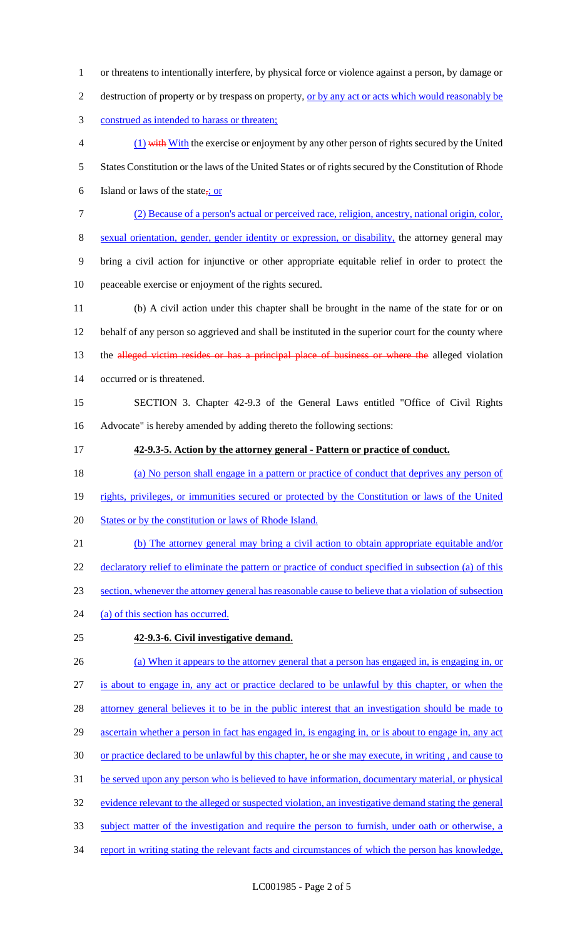- 1 or threatens to intentionally interfere, by physical force or violence against a person, by damage or
- 2 destruction of property or by trespass on property, <u>or by any act or acts which would reasonably be</u>
- 3 construed as intended to harass or threaten;
- 4 (1) with With the exercise or enjoyment by any other person of rights secured by the United 5 States Constitution or the laws of the United States or of rights secured by the Constitution of Rhode 6 Island or laws of the state,  $\frac{1}{2}$  or
- 7 (2) Because of a person's actual or perceived race, religion, ancestry, national origin, color,
- 8 sexual orientation, gender, gender identity or expression, or disability, the attorney general may
- 9 bring a civil action for injunctive or other appropriate equitable relief in order to protect the
- 10 peaceable exercise or enjoyment of the rights secured.
- 11 (b) A civil action under this chapter shall be brought in the name of the state for or on 12 behalf of any person so aggrieved and shall be instituted in the superior court for the county where 13 the alleged victim resides or has a principal place of business or where the alleged violation 14 occurred or is threatened.
- 15 SECTION 3. Chapter 42-9.3 of the General Laws entitled "Office of Civil Rights 16 Advocate" is hereby amended by adding thereto the following sections:
- 17 **42-9.3-5. Action by the attorney general - Pattern or practice of conduct.**
- 18 (a) No person shall engage in a pattern or practice of conduct that deprives any person of
- 19 rights, privileges, or immunities secured or protected by the Constitution or laws of the United
- 20 States or by the constitution or laws of Rhode Island.
- 21 (b) The attorney general may bring a civil action to obtain appropriate equitable and/or 22 declaratory relief to eliminate the pattern or practice of conduct specified in subsection (a) of this 23 section, whenever the attorney general has reasonable cause to believe that a violation of subsection
- 24 (a) of this section has occurred.

# 25 **42-9.3-6. Civil investigative demand.**

26 (a) When it appears to the attorney general that a person has engaged in, is engaging in, or 27 is about to engage in, any act or practice declared to be unlawful by this chapter, or when the 28 attorney general believes it to be in the public interest that an investigation should be made to 29 ascertain whether a person in fact has engaged in, is engaging in, or is about to engage in, any act 30 or practice declared to be unlawful by this chapter, he or she may execute, in writing , and cause to 31 be served upon any person who is believed to have information, documentary material, or physical 32 evidence relevant to the alleged or suspected violation, an investigative demand stating the general 33 subject matter of the investigation and require the person to furnish, under oath or otherwise, a 34 report in writing stating the relevant facts and circumstances of which the person has knowledge,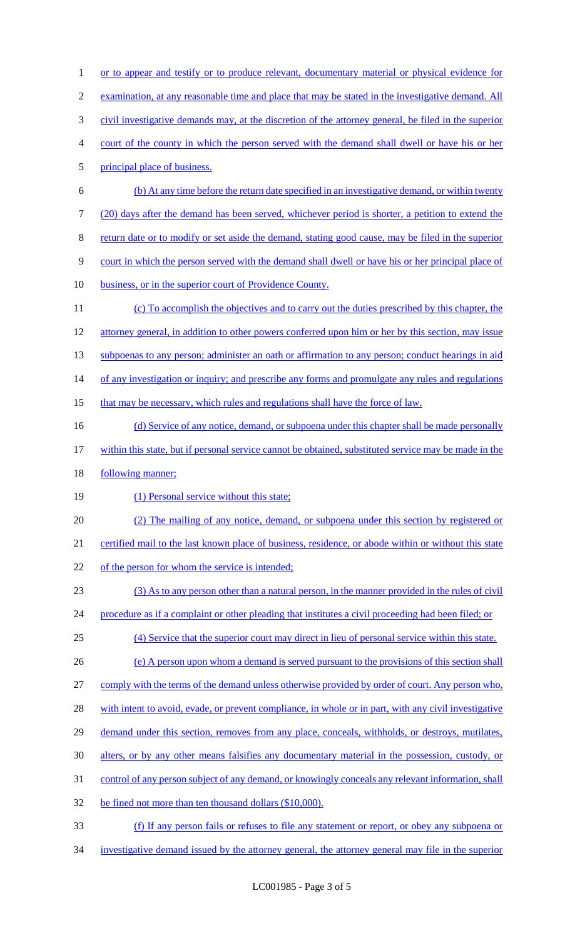or to appear and testify or to produce relevant, documentary material or physical evidence for examination, at any reasonable time and place that may be stated in the investigative demand. All civil investigative demands may, at the discretion of the attorney general, be filed in the superior court of the county in which the person served with the demand shall dwell or have his or her principal place of business. (b) At any time before the return date specified in an investigative demand, or within twenty (20) days after the demand has been served, whichever period is shorter, a petition to extend the return date or to modify or set aside the demand, stating good cause, may be filed in the superior court in which the person served with the demand shall dwell or have his or her principal place of 10 business, or in the superior court of Providence County. (c) To accomplish the objectives and to carry out the duties prescribed by this chapter, the 12 attorney general, in addition to other powers conferred upon him or her by this section, may issue 13 subpoenas to any person; administer an oath or affirmation to any person; conduct hearings in aid 14 of any investigation or inquiry; and prescribe any forms and promulgate any rules and regulations 15 that may be necessary, which rules and regulations shall have the force of law. 16 (d) Service of any notice, demand, or subpoena under this chapter shall be made personally within this state, but if personal service cannot be obtained, substituted service may be made in the 18 <u>following manner;</u> 19 (1) Personal service without this state; (2) The mailing of any notice, demand, or subpoena under this section by registered or certified mail to the last known place of business, residence, or abode within or without this state 22 of the person for whom the service is intended; (3) As to any person other than a natural person, in the manner provided in the rules of civil procedure as if a complaint or other pleading that institutes a civil proceeding had been filed; or (4) Service that the superior court may direct in lieu of personal service within this state. (e) A person upon whom a demand is served pursuant to the provisions of this section shall comply with the terms of the demand unless otherwise provided by order of court. Any person who, 28 with intent to avoid, evade, or prevent compliance, in whole or in part, with any civil investigative 29 demand under this section, removes from any place, conceals, withholds, or destroys, mutilates, alters, or by any other means falsifies any documentary material in the possession, custody, or

- control of any person subject of any demand, or knowingly conceals any relevant information, shall
- 32 be fined not more than ten thousand dollars (\$10,000).
- (f) If any person fails or refuses to file any statement or report, or obey any subpoena or investigative demand issued by the attorney general, the attorney general may file in the superior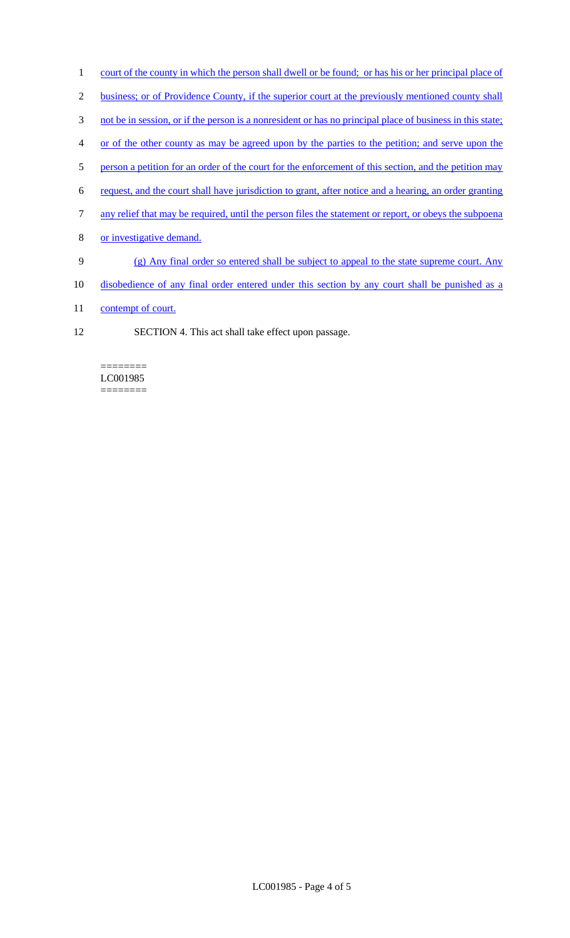- 1 court of the county in which the person shall dwell or be found; or has his or her principal place of
- 2 business; or of Providence County, if the superior court at the previously mentioned county shall
- 3 not be in session, or if the person is a nonresident or has no principal place of business in this state;
- 4 or of the other county as may be agreed upon by the parties to the petition; and serve upon the
- 5 person a petition for an order of the court for the enforcement of this section, and the petition may
- 6 request, and the court shall have jurisdiction to grant, after notice and a hearing, an order granting
- 7 any relief that may be required, until the person files the statement or report, or obeys the subpoena
- 8 or investigative demand.
- 9 (g) Any final order so entered shall be subject to appeal to the state supreme court. Any
- 10 disobedience of any final order entered under this section by any court shall be punished as a
- 11 contempt of court.
- 12 SECTION 4. This act shall take effect upon passage.

======== LC001985 ========